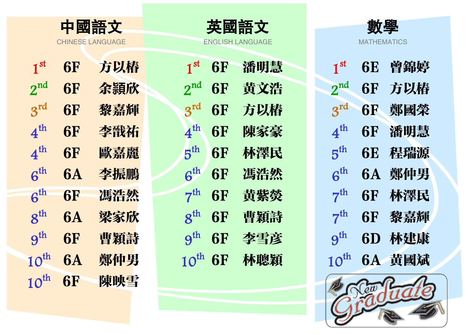|                  | 中國語文 |
|------------------|------|
| CHINESE LANGUAGE |      |

| 中國語文             | 英國語文               | 數學                |
|------------------|--------------------|-------------------|
| `HINESE LANGHAGE | ENGLISH I ANGLIAGE | <b>MATHEMATIC</b> |

| 1 <sup>st</sup>  | <b>6F</b> | 方以椿 | 1 <sup>st</sup> | <b>6F</b> | 潘明慧 | 1 <sup>st</sup>  | <b>6E</b> | 曾錦婷    |
|------------------|-----------|-----|-----------------|-----------|-----|------------------|-----------|--------|
| $2^{nd}$         | <b>6F</b> | 余頴欣 | $2^{nd}$        | <b>6F</b> | 黄文浩 | $2^{nd}$         | <b>6F</b> | 方以椿    |
| $3^{rd}$         | <b>6F</b> | 黎嘉輝 | $3^{\text{rd}}$ | <b>6F</b> | 方以椿 | $3^{\text{rd}}$  | <b>6F</b> | 鄭國榮    |
| 4 <sup>th</sup>  | <b>6F</b> | 李戩祐 | 4 <sup>th</sup> | <b>6F</b> | 陳家豪 | $4^{\text{th}}$  | <b>6F</b> | 潘明慧    |
| 4 <sup>th</sup>  | <b>6F</b> | 歐嘉麗 | $5^{\text{th}}$ | <b>6F</b> | 林澤民 | $5^{\text{th}}$  | <b>6E</b> | 程瑞源    |
| 6 <sup>th</sup>  | <b>6A</b> | 李振鵬 | $6^{th}$        | <b>6F</b> | 馮浩然 | $6^{th}$         |           | 6A 鄭仲男 |
| 6 <sup>th</sup>  | <b>6F</b> | 馮浩然 | $7^{th}$        | <b>6F</b> | 黄紫熒 | $7^{th}$         | <b>6F</b> | 林澤民    |
| $8^{\text{th}}$  | <b>6A</b> | 梁家欣 | $8^{\text{th}}$ | <b>6F</b> | 曹穎詩 | $7^{th}$         | <b>6F</b> | 黎嘉輝    |
| 9 <sup>th</sup>  | <b>6F</b> | 曹穎詩 | $9^{th}$        | <b>6F</b> | 李雪彦 | 9 <sup>th</sup>  |           | 6D 林建康 |
| $10^{\text{th}}$ | <b>6A</b> | 鄭仲男 | $10^{th}$ 6F    |           | 林聰穎 | $10^{\text{th}}$ |           | 6A 黄國斌 |
| $10^{\text{th}}$ | <b>6F</b> | 陳映雪 |                 |           |     |                  | Cew R     |        |

| 1 <sup>st</sup>                      | 6F        | 潘明慧 | 1             |
|--------------------------------------|-----------|-----|---------------|
| $2^{nd}$                             | <b>6F</b> | 黄文浩 | $2^{\cdot}$   |
| $3^{\text{rd}}$                      | 6F        | 方以椿 | 3             |
| $4^{th}$                             | 6F        | 陳家豪 | 4             |
| $5^{\rm th}$                         | 6F        | 林澤民 | 5             |
| $6^{\rm th}$                         | <b>6F</b> | 馮浩然 | 6             |
| $7^{\rm th}$                         | <b>6F</b> | 黃紫熒 | 7             |
| $\boldsymbol{\mathcal{S}}^\text{th}$ | 6F        | 曹穎詩 | 7             |
| 9 <sup>th</sup>                      | <b>6F</b> | 李雪彦 | $9^{\degree}$ |
| $10^{\text{th}}$                     | 6F        | 林聰穎 | 10            |



| $\textbf{1}^\text{st}$              | 6E        | 曾錦婷 |
|-------------------------------------|-----------|-----|
| $2^{nd}$                            | 6F        | 方以椿 |
| $3^{\rm rd}$                        | <b>6F</b> | 鄭國榮 |
| $4^{\rm th}$                        | 6F        | 潘明慧 |
| $5^{\rm th}$                        | 6E        | 程瑞源 |
| $\boldsymbol{\mathsf{G}}^\text{th}$ | 6 A       | 鄭仲男 |
| $7^{\mathrm{th}}$                   | 6F        | 林澤民 |
| $7^{\rm th}$                        | 6F        | 黎嘉輝 |
| $\mathbf{\Theta}^\text{th}$         | 6D        | 林建康 |
| $10^{\text{th}}$                    | 6A        | 黄國斌 |

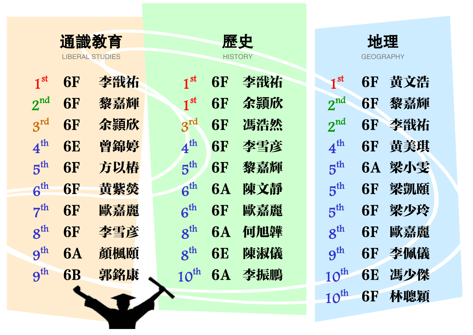| 通識教育            |           |                        | 歷史               |           |                | 地理               |                  |     |
|-----------------|-----------|------------------------|------------------|-----------|----------------|------------------|------------------|-----|
|                 |           | <b>LIBERAL STUDIES</b> |                  |           | <b>HISTORY</b> |                  | <b>GEOGRAPHY</b> |     |
| 1 <sup>st</sup> | <b>6F</b> | 李戩祐                    | 1 <sup>st</sup>  | <b>6F</b> | 李戩祐            | 1 <sup>st</sup>  | <b>6F</b>        | 黄文浩 |
| $2^{nd}$        | <b>6F</b> | 黎嘉輝                    | 1 <sup>st</sup>  | <b>6F</b> | 余頴欣            | $2^{nd}$         | <b>6F</b>        | 黎嘉輝 |
| 3 <sup>rd</sup> | <b>6F</b> | 余頴欣                    | $3^{rd}$         | <b>6F</b> | 馮浩然            | $2^{nd}$         | <b>6F</b>        | 李戩祐 |
| 4 <sup>th</sup> | <b>6E</b> | 曾錦婷                    | 4 <sup>th</sup>  | <b>6F</b> | 李雪彦            | 4 <sup>th</sup>  | <b>6F</b>        | 黄美琪 |
| 5 <sup>th</sup> | <b>6F</b> | 方以椿                    | 5 <sup>th</sup>  | <b>6F</b> | 黎嘉輝            | 5 <sup>th</sup>  | <b>6A</b>        | 梁小雯 |
| 6 <sup>th</sup> | <b>6F</b> | 黄紫熒                    | 6 <sup>th</sup>  | <b>6A</b> | 陳文靜            | 5 <sup>th</sup>  | <b>6F</b>        | 梁凱頤 |
| 7 <sup>th</sup> | <b>6F</b> | 歐嘉麗                    | 6 <sup>th</sup>  | <b>6F</b> | 歐嘉麗            | 5 <sup>th</sup>  | <b>6F</b>        | 梁少玲 |
| $8^{th}$        | <b>6F</b> | 李雪彦                    | $8^{\text{th}}$  | <b>6A</b> | 何旭韡            | $8^{\text{th}}$  | <b>6F</b>        | 歐嘉麗 |
| 9 <sup>th</sup> | <b>6A</b> | 顏楓頤                    | $8^{th}$         | <b>6E</b> | 陳淑儀            | 9 <sup>th</sup>  | <b>6F</b>        | 李佩儀 |
| 9 <sup>th</sup> | <b>6B</b> | 郭銘康                    | $10^{\text{th}}$ | <b>6A</b> | 李振鵬            | $10^{\text{th}}$ | <b>6E</b>        | 馮少傑 |
|                 |           |                        |                  |           |                | $10^{\text{th}}$ | <b>6F</b>        | 林聰穎 |

| $1^{\rm st}$                        | 6F        | 李戩祐 | 1                           |
|-------------------------------------|-----------|-----|-----------------------------|
| 1 <sup>st</sup>                     | 6F        | 余頴欣 | $2^{\scriptscriptstyle{1}}$ |
| $3^{rd}$                            | 6F        | 馮浩然 | $2^{1}$                     |
| $\boldsymbol{4}^{\text{th}}$        | 6F        | 李雪彦 | $\overline{\mathcal{A}}$    |
| 5 <sup>th</sup>                     | 6F        | 黎嘉輝 | $5^{\prime}$                |
| $6^{\rm th}$                        | <b>6A</b> | 陳文靜 | $\overline{5}$              |
| $\boldsymbol{\mathsf{G}}^\text{th}$ | 6F        | 歐嘉麗 | $5^1$                       |
| $8^{\rm th}$                        | <b>6A</b> | 何旭韡 | $\overline{8}$              |
| $8^{\rm th}$                        | 6E        | 陳淑儀 | $\boldsymbol{9}$            |
| $10^{\rm th}$                       | <b>6A</b> | 李振鵬 | 10                          |
|                                     |           |     |                             |



| $1^{\rm st}$                        | 6F | 黄文浩 |
|-------------------------------------|----|-----|
| $2^{nd}$                            | 6F | 黎嘉輝 |
| $2^{\text{nd}}$                     | 6F | 李戩祐 |
| $\boldsymbol{4}^{\textsf{th}}$      | 6F | 黄美琪 |
| $5^{\rm th}$                        | 6A | 梁小雯 |
| $\mathbf{5}^{\text{th}}$            | 6F | 梁凱頤 |
| $\mathbf{5}^\text{th}$              | 6F | 梁少玲 |
| $\boldsymbol{\mathsf{g}}^\text{th}$ | 6F | 歐嘉麗 |
| $\mathbf{g}^\text{th}$              | 6F | 李佩儀 |
| $10^{\rm th}$                       | 6E | 馮少傑 |
| $10^{\rm th}$                       | 6F | 林聰穎 |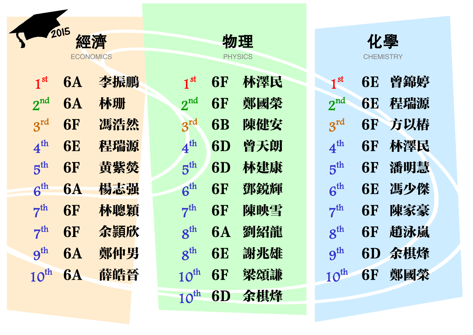|                  | 2015      |                  |                     |           |                         |                  |                  |     |
|------------------|-----------|------------------|---------------------|-----------|-------------------------|------------------|------------------|-----|
|                  |           | 經濟               |                     |           | 物理                      |                  | 化學               |     |
|                  |           | <b>ECONOMICS</b> |                     |           | <b>PHYSICS</b>          |                  | <b>CHEMISTRY</b> |     |
| 1 <sup>st</sup>  | <b>6A</b> | 李振鵬              | 1 <sup>st</sup>     | <b>6F</b> | 林澤民                     | 1 <sup>st</sup>  | <b>6E</b>        | 曾錦婷 |
| $2^{nd}$         | <b>6A</b> | 林珊               | 2 <sup>nd</sup>     | <b>6F</b> | 鄭國榮                     | $2^{nd}$         | <b>6E</b>        | 程瑞源 |
| $3^{rd}$         | <b>6F</b> | 馮浩然              | $3^{rd}$            | <b>6B</b> | 陳健安                     | $3^{rd}$         | <b>6F</b>        | 方以椿 |
| 4 <sup>th</sup>  | <b>6E</b> | 程瑞源              | 4 <sup>th</sup>     | 6D        | 曾天朗                     | 4 <sup>th</sup>  | <b>6F</b>        | 林澤民 |
| 5 <sup>th</sup>  | <b>6F</b> | 黄紫熒              | 5 <sup>th</sup>     | 6D        | 林建康                     | 5 <sup>th</sup>  | <b>6F</b>        | 潘明慧 |
| 6 <sup>th</sup>  | <b>6A</b> | 楊志强              | 6 <sup>th</sup>     | <b>6F</b> | 鄧鋭輝                     | 6 <sup>th</sup>  | <b>6E</b>        | 馮少傑 |
| 7 <sup>th</sup>  | <b>6F</b> | 林聰穎              | 7 <sup>th</sup>     | <b>6F</b> | 陳映雪                     | 7 <sup>th</sup>  | <b>6F</b>        | 陳家豪 |
| 7 <sup>th</sup>  | <b>6F</b> | 余頴欣              | $8^{\text{th}}$     | <b>6A</b> | 劉紹龍                     | $8^{\text{th}}$  | <b>6F</b>        | 趙泳嵐 |
| $9^{th}$         | <b>6A</b> | 鄭仲男              | $8^{\text{th}}$     | <b>6E</b> | 謝兆雄                     | 9 <sup>th</sup>  | 6D               | 余棋烽 |
| $10^{\text{th}}$ | <b>6A</b> | 薛皓晉              | $10^{\text{th}}$ 6F |           | 梁頌謙                     | $10^{\text{th}}$ | <b>6F</b>        | 鄭國榮 |
|                  |           |                  |                     |           | 10 <sup>th</sup> 6D 余棋烽 |                  |                  |     |



| $1^{\rm st}$                        | 6E | 曾錦婷 |
|-------------------------------------|----|-----|
| $2^{\text{nd}}$                     | 6E | 稈瑞源 |
| $3^{\mathsf{rd}}$                   | 6F | 方以椿 |
| $4^{\rm th}$                        | 6F | 林澤民 |
| $\bm{\mathrm{5}}^\text{th}$         | 6F | 潘明慧 |
| $\boldsymbol{\mathsf{G}}^\text{th}$ | 6E | 馮少傑 |
| $7^{\rm th}$                        | 6F | 陳家豪 |
| $\boldsymbol{8}^{\text{th}}$        | 6F | 趙泳嵐 |
| $\mathbf{g}^{\text{th}}$            | 6D | 余棋烽 |
| $10^{\text{th}}$                    | 6F | 鄭國榮 |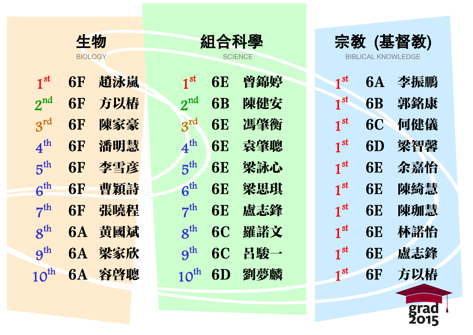|                  | 生物             |     |                  | 組合科學           |     |              |  |
|------------------|----------------|-----|------------------|----------------|-----|--------------|--|
|                  | <b>BIOLOGY</b> |     |                  | <b>SCIENCE</b> |     |              |  |
| 1 <sup>st</sup>  | <b>6F</b>      | 趙泳嵐 | 1 <sup>st</sup>  | <b>6E</b>      | 曾錦婷 | $\mathbf 1$  |  |
| $2^{nd}$         | <b>6F</b>      | 方以椿 | $2^{nd}$         | <b>6B</b>      | 陳健安 | $\mathbf 1$  |  |
| $3^{rd}$         | <b>6F</b>      | 陳家豪 | $3^{rd}$         | <b>6E</b>      | 馮肇衡 | $\mathbf{1}$ |  |
| 4 <sup>th</sup>  | <b>6F</b>      | 潘明慧 | $4^{\rm th}$     | <b>6E</b>      | 袁肇聰 | $\mathbf{1}$ |  |
| 5 <sup>th</sup>  | <b>6F</b>      | 李雪彦 | 5 <sup>th</sup>  | <b>6E</b>      | 梁詠心 | $\mathbf 1$  |  |
| $6^{th}$         | <b>6F</b>      | 曹穎詩 | 6 <sup>th</sup>  | <b>6E</b>      | 梁思琪 | $\mathbf 1$  |  |
| 7 <sup>th</sup>  | <b>6F</b>      | 張曉程 | 7 <sup>th</sup>  | <b>6E</b>      | 盧志鋒 | $\mathbf 1$  |  |
| $8^{th}$         | <b>6A</b>      | 黄國斌 | $8^{\text{th}}$  | <b>6C</b>      | 羅諾文 | $\mathbf 1$  |  |
| 9 <sup>th</sup>  | <b>6A</b>      | 梁家欣 | 9 <sup>th</sup>  | <b>6C</b>      | 呂駿一 | $\mathbf 1$  |  |
| $10^{\text{th}}$ | <b>6A</b>      | 容啓聰 | $10^{\text{th}}$ | 6D             | 劉夢麟 | $\mathbf 1$  |  |
|                  |                |     |                  |                |     |              |  |



| $1^{\rm st}$           | 6A        | 李振鵬 |
|------------------------|-----------|-----|
| $1^{\rm st}$           | <b>6B</b> | 郭銘康 |
| $\textbf{1}^\text{st}$ | <b>6C</b> | 何健儀 |
| $1^{\rm st}$           | 6D        | 梁智馨 |
| $\textbf{1}^\text{st}$ | 6E        | 余嘉怡 |
| $1^{\rm st}$           | 6E        | 陳綺慧 |
| $1^{\rm st}$           | 6E        | 陳珈慧 |
| $1^{\rm st}$           | 6E        | 林諾恰 |
| $1^{\rm st}$           | 6E        | 盧志鋒 |
| $1^{\rm st}$           | 6F        | 方以椿 |

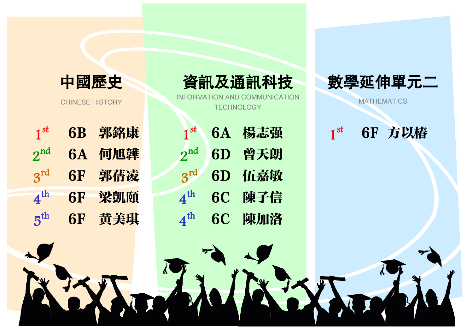

CHINESE HISTORY

| 1 <sup>st</sup> | <b>6B</b> | 郭銘康 | 1                                          |
|-----------------|-----------|-----|--------------------------------------------|
| $2^{nd}$        | <b>6A</b> | 何旭韡 | $\boldsymbol{2}^{\textnormal{\texttt{1}}}$ |
| $3^{rd}$        | <b>6F</b> | 郭蒨凌 | $3^1$                                      |
| $4^{\rm th}$    | <b>6F</b> | 梁凱頤 | $\boldsymbol{4}^\mathrm{t}$                |
| $5^{th}$        | 6F        | 黄美琪 | $\boldsymbol{4}^\mathsf{t}$                |

INFORMATION AND COMMUNICATION **TECHNOLOGY** 

| 1 <sup>st</sup>              |    | 6A 楊志强 | ш |
|------------------------------|----|--------|---|
| $2^{nd}$                     |    | 6D 曾天朗 |   |
| 3rd                          |    | 6D 伍嘉敏 |   |
| $4^{\text{th}}$              |    | 6C 陳子信 |   |
| $\boldsymbol{4}^{\text{th}}$ | 6C | 陳加洛    |   |



**MATHEMATICS** 

1st 6F 方以椿